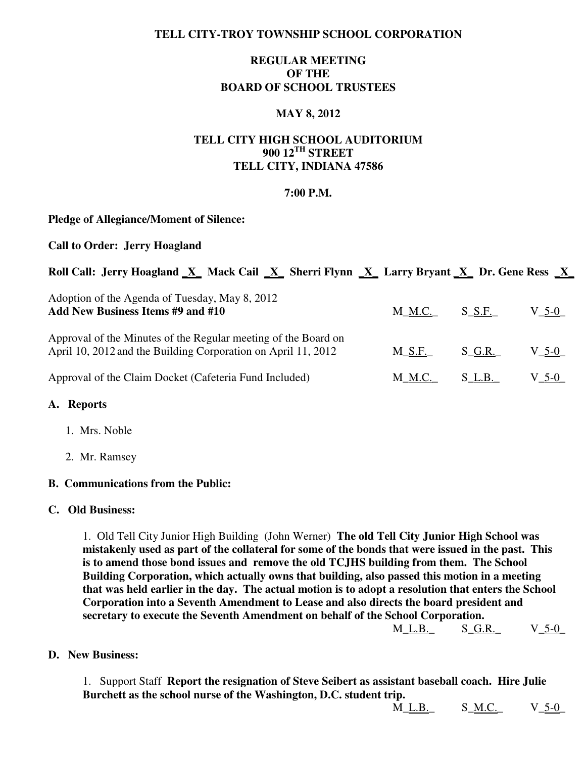# **TELL CITY-TROY TOWNSHIP SCHOOL CORPORATION**

# **REGULAR MEETING OF THE BOARD OF SCHOOL TRUSTEES**

## **MAY 8, 2012**

# **TELL CITY HIGH SCHOOL AUDITORIUM 900 12TH STREET TELL CITY, INDIANA 47586**

#### **7:00 P.M.**

#### **Pledge of Allegiance/Moment of Silence:**

### **Call to Order: Jerry Hoagland**

| Roll Call: Jerry Hoagland X Mack Cail X Sherri Flynn X Larry Bryant X Dr. Gene Ress X |  |  |  |  |
|---------------------------------------------------------------------------------------|--|--|--|--|
|                                                                                       |  |  |  |  |

| Adoption of the Agenda of Tuesday, May 8, 2012<br>Add New Business Items #9 and #10                                             | $M_M.C.$ $S_S.F.$ |           | $V_{-}$ 5-0 $_{-}$ |
|---------------------------------------------------------------------------------------------------------------------------------|-------------------|-----------|--------------------|
| Approval of the Minutes of the Regular meeting of the Board on<br>April 10, 2012 and the Building Corporation on April 11, 2012 | $M\_S.F.$         | S G.R.    | $V_5-0$            |
| Approval of the Claim Docket (Cafeteria Fund Included)                                                                          | M_ <u>M.C.</u>    | $S_L.B_L$ | $V_{-}$ 5-0 $_{-}$ |

#### **A. Reports**

- 1. Mrs. Noble
- 2. Mr. Ramsey

# **B. Communications from the Public:**

#### **C. Old Business:**

 1. Old Tell City Junior High Building (John Werner) **The old Tell City Junior High School was mistakenly used as part of the collateral for some of the bonds that were issued in the past. This is to amend those bond issues and remove the old TCJHS building from them. The School Building Corporation, which actually owns that building, also passed this motion in a meeting that was held earlier in the day. The actual motion is to adopt a resolution that enters the School Corporation into a Seventh Amendment to Lease and also directs the board president and secretary to execute the Seventh Amendment on behalf of the School Corporation.** 

M\_L.B.\_ S\_G.R.\_ V\_5-0\_

**D. New Business:** 

 1. Support Staff **Report the resignation of Steve Seibert as assistant baseball coach. Hire Julie Burchett as the school nurse of the Washington, D.C. student trip.** 

M\_L.B. S\_M.C. V\_5-0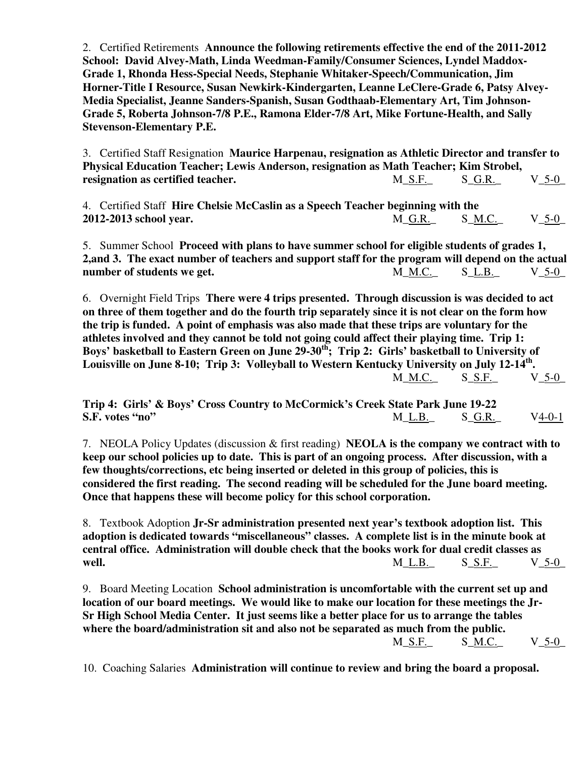2. Certified Retirements **Announce the following retirements effective the end of the 2011-2012 School: David Alvey-Math, Linda Weedman-Family/Consumer Sciences, Lyndel Maddox- Grade 1, Rhonda Hess-Special Needs, Stephanie Whitaker-Speech/Communication, Jim Horner-Title I Resource, Susan Newkirk-Kindergarten, Leanne LeClere-Grade 6, Patsy Alvey- Media Specialist, Jeanne Sanders-Spanish, Susan Godthaab-Elementary Art, Tim Johnson- Grade 5, Roberta Johnson-7/8 P.E., Ramona Elder-7/8 Art, Mike Fortune-Health, and Sally Stevenson-Elementary P.E.** 

 3. Certified Staff Resignation **Maurice Harpenau, resignation as Athletic Director and transfer to Physical Education Teacher; Lewis Anderson, resignation as Math Teacher; Kim Strobel, resignation as certified teacher.** M\_S.F. S\_G.R. V\_5-0\_

 4. Certified Staff **Hire Chelsie McCaslin as a Speech Teacher beginning with the 2012-2013 school year.** M\_G.R.\_ S\_M.C.\_ V\_5-0\_

5. Summer School **Proceed with plans to have summer school for eligible students of grades 1, 2,and 3. The exact number of teachers and support staff for the program will depend on the actual**  number of students we get.  $M\_M.C.$  S\_L.B. V\_5-0\_

 6. Overnight Field Trips **There were 4 trips presented. Through discussion is was decided to act on three of them together and do the fourth trip separately since it is not clear on the form how the trip is funded. A point of emphasis was also made that these trips are voluntary for the athletes involved and they cannot be told not going could affect their playing time. Trip 1: Boys' basketball to Eastern Green on June 29-30th; Trip 2: Girls' basketball to University of Louisville on June 8-10; Trip 3: Volleyball to Western Kentucky University on July 12-14th .**  $M_\text{M.C.}$  S\_S.F. V\_5-0

**Trip 4: Girls' & Boys' Cross Country to McCormick's Creek State Park June 19-22 S.F. votes "no" M\_L.B.** S\_G.R. V4-0-1

 7. NEOLA Policy Updates (discussion & first reading) **NEOLA is the company we contract with to keep our school policies up to date. This is part of an ongoing process. After discussion, with a few thoughts/corrections, etc being inserted or deleted in this group of policies, this is considered the first reading. The second reading will be scheduled for the June board meeting. Once that happens these will become policy for this school corporation.**

 8. Textbook Adoption **Jr-Sr administration presented next year's textbook adoption list. This adoption is dedicated towards "miscellaneous" classes. A complete list is in the minute book at central office. Administration will double check that the books work for dual credit classes as**  *well.*  $M_1L_1B_2$   $S_2S_1F_2$   $V_2S_2O_2$ 

 9. Board Meeting Location **School administration is uncomfortable with the current set up and location of our board meetings. We would like to make our location for these meetings the Jr- Sr High School Media Center. It just seems like a better place for us to arrange the tables where the board/administration sit and also not be separated as much from the public. M\_S.F.** S\_<u>M.C.</u> V\_5-0

10. Coaching Salaries **Administration will continue to review and bring the board a proposal.**